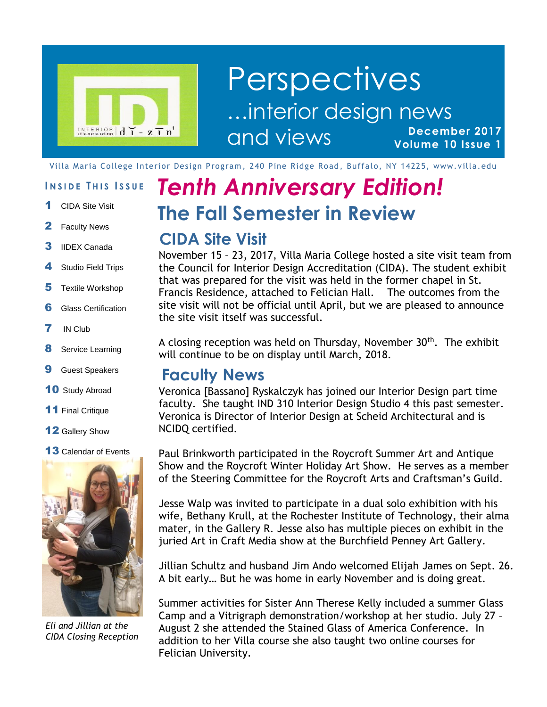

#### **December 2017 Volume 10 Issue 1 Perspectives** …interior design news and views

Villa Maria College Interior Design Program, 240 Pine Ridge Road, Buffalo, NY 14225, www.villa.edu

#### **I N S I D E T H I S I S S U E**

- 1 CIDA Site Visit
- 2 Faculty News
- **3** IIDEX Canada
- 4 Studio Field Trips
- **5** Textile Workshop
- **6** Glass Certification
- 7 IN Club
- 8 Service Learning
- **9** Guest Speakers
- 10 Study Abroad
- 11 Final Critique
- 12 Gallery Show

#### 13 Calendar of Events



*Eli and Jillian at the CIDA Closing Reception*

# **The Fall Semester in Review** *Tenth Anniversary Edition!*

#### **CIDA Site Visit**

November 15 – 23, 2017, Villa Maria College hosted a site visit team from the Council for Interior Design Accreditation (CIDA). The student exhibit that was prepared for the visit was held in the former chapel in St. Francis Residence, attached to Felician Hall. The outcomes from the site visit will not be official until April, but we are pleased to announce the site visit itself was successful.

A closing reception was held on Thursday, November  $30<sup>th</sup>$ . The exhibit will continue to be on display until March, 2018.

#### **Faculty News**

Veronica [Bassano] Ryskalczyk has joined our Interior Design part time faculty. She taught IND 310 Interior Design Studio 4 this past semester. Veronica is Director of Interior Design at Scheid Architectural and is NCIDQ certified.

Paul Brinkworth participated in the Roycroft Summer Art and Antique Show and the Roycroft Winter Holiday Art Show. He serves as a member of the Steering Committee for the Roycroft Arts and Craftsman's Guild.

Jesse Walp was invited to participate in a dual solo exhibition with his wife, Bethany Krull, at the Rochester Institute of Technology, their alma mater, in the Gallery R. Jesse also has multiple pieces on exhibit in the juried Art in Craft Media show at the Burchfield Penney Art Gallery.

Jillian Schultz and husband Jim Ando welcomed Elijah James on Sept. 26. A bit early… But he was home in early November and is doing great.

Summer activities for Sister Ann Therese Kelly included a summer Glass Camp and a Vitrigraph demonstration/workshop at her studio. July 27 – August 2 she attended the Stained Glass of America Conference. In addition to her Villa course she also taught two online courses for Felician University.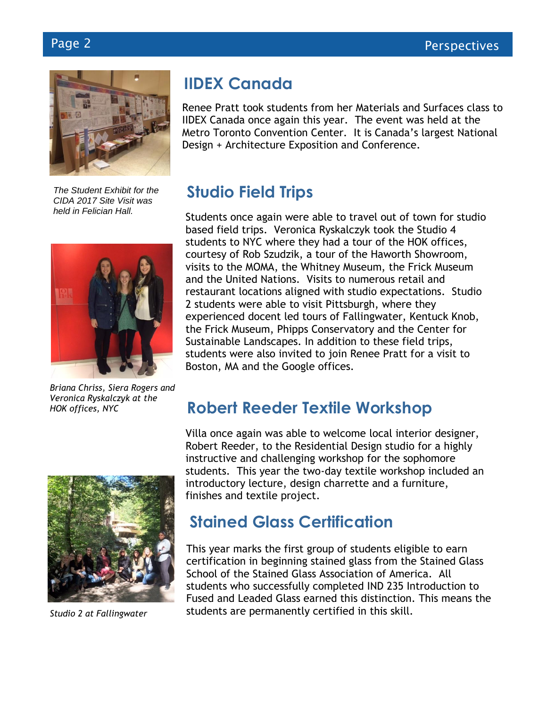

*CIDA 2017 Site Visit was held in Felician Hall.*



*Briana Chriss, Siera Rogers and Veronica Ryskalczyk at the HOK offices, NYC*

## **IIDEX Canada**

Renee Pratt took students from her Materials and Surfaces class to IIDEX Canada once again this year. The event was held at the Metro Toronto Convention Center. It is Canada's largest National Design + Architecture Exposition and Conference.

#### **Studio Field Trips** *The Student Exhibit for the*

Students once again were able to travel out of town for studio based field trips. Veronica Ryskalczyk took the Studio 4 students to NYC where they had a tour of the HOK offices, courtesy of Rob Szudzik, a tour of the Haworth Showroom, visits to the MOMA, the Whitney Museum, the Frick Museum and the United Nations. Visits to numerous retail and restaurant locations aligned with studio expectations. Studio 2 students were able to visit Pittsburgh, where they experienced docent led tours of Fallingwater, Kentuck Knob, the Frick Museum, Phipps Conservatory and the Center for Sustainable Landscapes. In addition to these field trips, students were also invited to join Renee Pratt for a visit to Boston, MA and the Google offices.

## **Robert Reeder Textile Workshop**



*Studio 2 at Fallingwater*

Villa once again was able to welcome local interior designer, Robert Reeder, to the Residential Design studio for a highly instructive and challenging workshop for the sophomore students. This year the two-day textile workshop included an introductory lecture, design charrette and a furniture, finishes and textile project.

## **Stained Glass Certification**

This year marks the first group of students eligible to earn certification in beginning stained glass from the Stained Glass School of the Stained Glass Association of America. All students who successfully completed IND 235 Introduction to Fused and Leaded Glass earned this distinction. This means the students are permanently certified in this skill.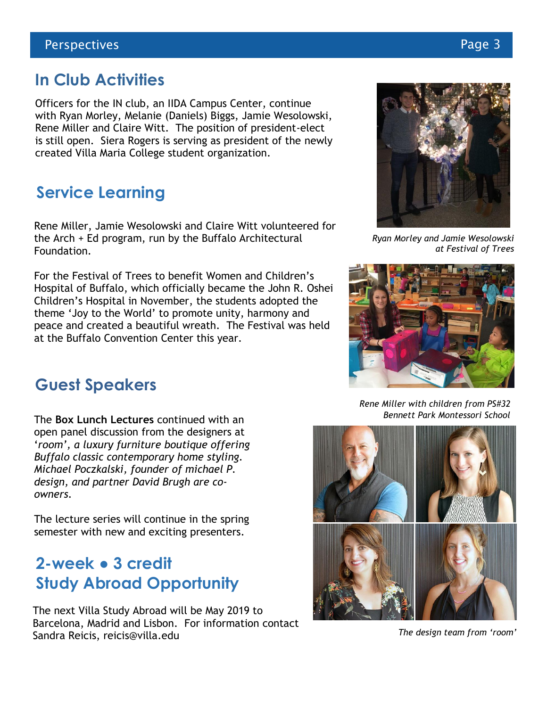#### **In Club Activities**

Officers for the IN club, an IIDA Campus Center, continue with Ryan Morley, Melanie (Daniels) Biggs, Jamie Wesolowski, Rene Miller and Claire Witt. The position of president-elect is still open. Siera Rogers is serving as president of the newly created Villa Maria College student organization.

## **Service Learning**

Rene Miller, Jamie Wesolowski and Claire Witt volunteered for the Arch + Ed program, run by the Buffalo Architectural Foundation.

For the Festival of Trees to benefit Women and Children's Hospital of Buffalo, which officially became the John R. Oshei Children's Hospital in November, the students adopted the theme 'Joy to the World' to promote unity, harmony and peace and created a beautiful wreath. The Festival was held at the Buffalo Convention Center this year.

#### **Guest Speakers**

The **Box Lunch Lectures** continued with an open panel discussion from the designers at '*room', a luxury furniture boutique offering Buffalo classic contemporary home styling. Michael Poczkalski, founder of michael P. design, and partner David Brugh are coowners.*

The lecture series will continue in the spring semester with new and exciting presenters.

## **2-week ● 3 credit Study Abroad Opportunity**

The next Villa Study Abroad will be May 2019 to Barcelona, Madrid and Lisbon. For information contact Sandra Reicis, reicis@villa.edu

*Ryan Morley and Jamie Wesolowski at Festival of Trees*

*Rene Miller with children from PS#32 Bennett Park Montessori School*